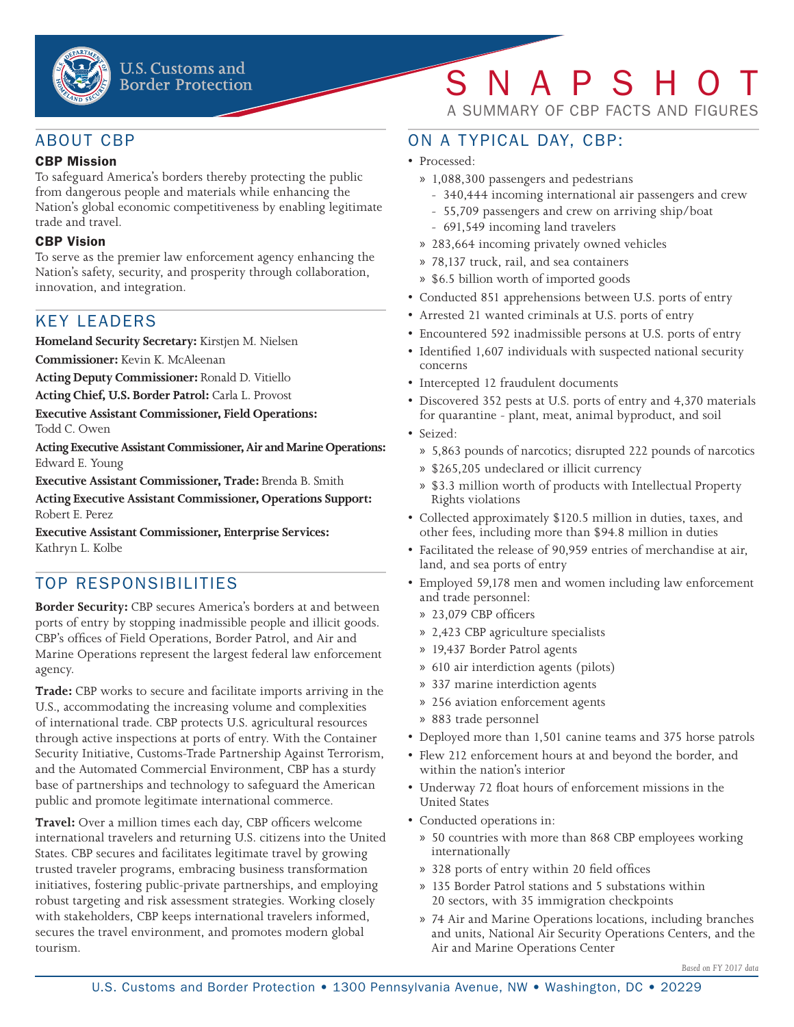

### ABOUT CBP

#### CBP Mission

To safeguard America's borders thereby protecting the public from dangerous people and materials while enhancing the Nation's global economic competitiveness by enabling legitimate trade and travel.

#### CBP Vision

To serve as the premier law enforcement agency enhancing the Nation's safety, security, and prosperity through collaboration, innovation, and integration.

### KEY LEADERS

**Homeland Security Secretary:** Kirstjen M. Nielsen

**Commissioner:** Kevin K. McAleenan

**Acting Deputy Commissioner:** Ronald D. Vitiello

**Acting Chief, U.S. Border Patrol:** Carla L. Provost

**Executive Assistant Commissioner, Field Operations:**

Todd C. Owen

**Acting Executive Assistant Commissioner, Air and Marine Operations:** Edward E. Young

**Executive Assistant Commissioner, Trade:** Brenda B. Smith

**Acting Executive Assistant Commissioner, Operations Support:**  Robert E. Perez

**Executive Assistant Commissioner, Enterprise Services:**  Kathryn L. Kolbe

# TOP RESPONSIBILITIES

**Border Security:** CBP secures America's borders at and between ports of entry by stopping inadmissible people and illicit goods. CBP's offices of Field Operations, Border Patrol, and Air and Marine Operations represent the largest federal law enforcement agency.

**Trade:** CBP works to secure and facilitate imports arriving in the U.S., accommodating the increasing volume and complexities of international trade. CBP protects U.S. agricultural resources through active inspections at ports of entry. With the Container Security Initiative, Customs-Trade Partnership Against Terrorism, and the Automated Commercial Environment, CBP has a sturdy base of partnerships and technology to safeguard the American public and promote legitimate international commerce.

**Travel:** Over a million times each day, CBP officers welcome international travelers and returning U.S. citizens into the United States. CBP secures and facilitates legitimate travel by growing trusted traveler programs, embracing business transformation initiatives, fostering public-private partnerships, and employing robust targeting and risk assessment strategies. Working closely with stakeholders, CBP keeps international travelers informed, secures the travel environment, and promotes modern global tourism.

# SNAPSHO

A SUMMARY OF CBP FACTS AND FIGURES

# ON A TYPICAL DAY, CBP:

- Processed:
	- » 1,088,300 passengers and pedestrians
		- 340,444 incoming international air passengers and crew
	- 55,709 passengers and crew on arriving ship/boat
	- 691,549 incoming land travelers
	- » 283,664 incoming privately owned vehicles
	- » 78,137 truck, rail, and sea containers
	- » \$6.5 billion worth of imported goods
- Conducted 851 apprehensions between U.S. ports of entry
- Arrested 21 wanted criminals at U.S. ports of entry
- Encountered 592 inadmissible persons at U.S. ports of entry
- Identified 1,607 individuals with suspected national security concerns
- Intercepted 12 fraudulent documents
- Discovered 352 pests at U.S. ports of entry and 4,370 materials for quarantine - plant, meat, animal byproduct, and soil
- Seized:
	- » 5,863 pounds of narcotics; disrupted 222 pounds of narcotics
	- » \$265,205 undeclared or illicit currency
	- » \$3.3 million worth of products with Intellectual Property Rights violations
- Collected approximately \$120.5 million in duties, taxes, and other fees, including more than \$94.8 million in duties
- Facilitated the release of 90,959 entries of merchandise at air, land, and sea ports of entry
- Employed 59,178 men and women including law enforcement and trade personnel:
	- » 23,079 CBP officers
	- » 2,423 CBP agriculture specialists
	- » 19,437 Border Patrol agents
	- » 610 air interdiction agents (pilots)
	- » 337 marine interdiction agents
	- » 256 aviation enforcement agents
	- » 883 trade personnel
- Deployed more than 1,501 canine teams and 375 horse patrols
- Flew 212 enforcement hours at and beyond the border, and within the nation's interior
- Underway 72 float hours of enforcement missions in the United States
- Conducted operations in:
	- » 50 countries with more than 868 CBP employees working internationally
	- » 328 ports of entry within 20 field offices
	- » 135 Border Patrol stations and 5 substations within 20 sectors, with 35 immigration checkpoints
	- » 74 Air and Marine Operations locations, including branches and units, National Air Security Operations Centers, and the Air and Marine Operations Center